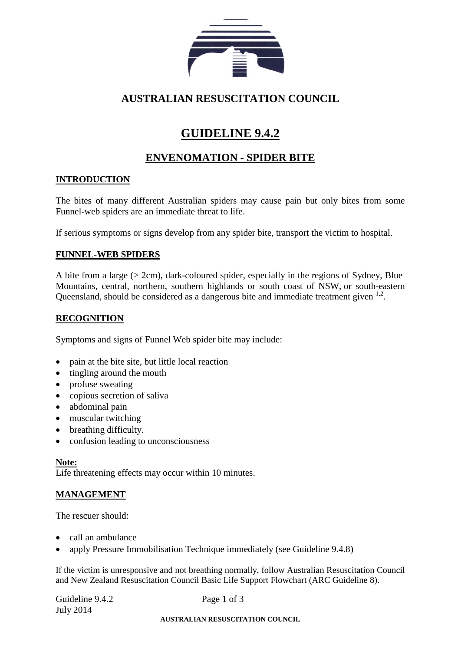

## **AUSTRALIAN RESUSCITATION COUNCIL**

# **GUIDELINE 9.4.2**

## **ENVENOMATION - SPIDER BITE**

### **INTRODUCTION**

The bites of many different Australian spiders may cause pain but only bites from some Funnel-web spiders are an immediate threat to life.

If serious symptoms or signs develop from any spider bite, transport the victim to hospital.

#### **FUNNEL-WEB SPIDERS**

A bite from a large (> 2cm), dark-coloured spider, especially in the regions of Sydney, Blue Mountains, central, northern, southern highlands or south coast of NSW, or south-eastern Queensland, should be considered as a dangerous bite and immediate treatment given <sup>1,2</sup>.

#### **RECOGNITION**

Symptoms and signs of Funnel Web spider bite may include:

- pain at the bite site, but little local reaction
- tingling around the mouth
- profuse sweating
- copious secretion of saliva
- abdominal pain
- muscular twitching
- breathing difficulty.
- confusion leading to unconsciousness

#### **Note:**

Life threatening effects may occur within 10 minutes.

### **MANAGEMENT**

The rescuer should:

- call an ambulance
- apply Pressure Immobilisation Technique immediately (see Guideline 9.4.8)

If the victim is unresponsive and not breathing normally, follow Australian Resuscitation Council and New Zealand Resuscitation Council Basic Life Support Flowchart (ARC Guideline 8).

| Guideline 9.4.2 | Page 1 of 3                                               |
|-----------------|-----------------------------------------------------------|
| July 2014       |                                                           |
|                 | , TIOMA , T T , LI T, T, OT OUT OUT , MY OLI OUT OUTLIGET |

#### **AUSTRALIAN RESUSCITATION COUNCIL**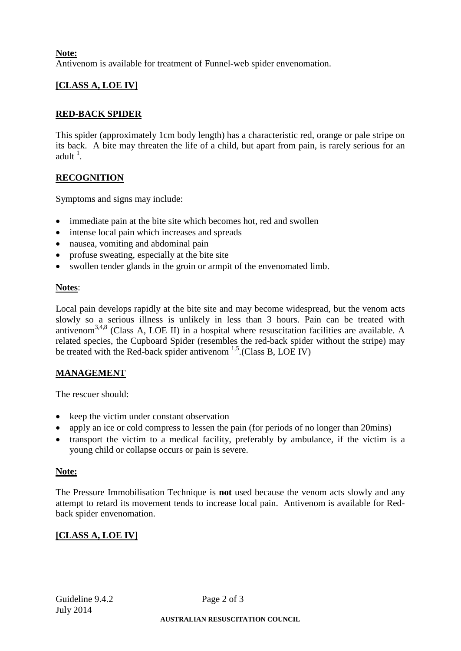#### **Note:** Antivenom is available for treatment of Funnel-web spider envenomation.

### **[CLASS A, LOE IV]**

#### **RED-BACK SPIDER**

This spider (approximately 1cm body length) has a characteristic red, orange or pale stripe on its back. A bite may threaten the life of a child, but apart from pain, is rarely serious for an adult  $^1$ .

#### **RECOGNITION**

Symptoms and signs may include:

- immediate pain at the bite site which becomes hot, red and swollen
- intense local pain which increases and spreads
- nausea, vomiting and abdominal pain
- profuse sweating, especially at the bite site
- swollen tender glands in the groin or armpit of the envenomated limb.

#### **Notes**:

Local pain develops rapidly at the bite site and may become widespread, but the venom acts slowly so a serious illness is unlikely in less than 3 hours. Pain can be treated with antivenom<sup>3,4,8</sup> (Class A, LOE II) in a hospital where resuscitation facilities are available. A related species, the Cupboard Spider (resembles the red-back spider without the stripe) may be treated with the Red-back spider antivenom <sup>1,5</sup>. (Class B, LOE IV)

#### **MANAGEMENT**

The rescuer should:

- keep the victim under constant observation
- apply an ice or cold compress to lessen the pain (for periods of no longer than 20 mins)
- transport the victim to a medical facility, preferably by ambulance, if the victim is a young child or collapse occurs or pain is severe.

#### **Note:**

The Pressure Immobilisation Technique is **not** used because the venom acts slowly and any attempt to retard its movement tends to increase local pain. Antivenom is available for Redback spider envenomation.

#### **[CLASS A, LOE IV]**